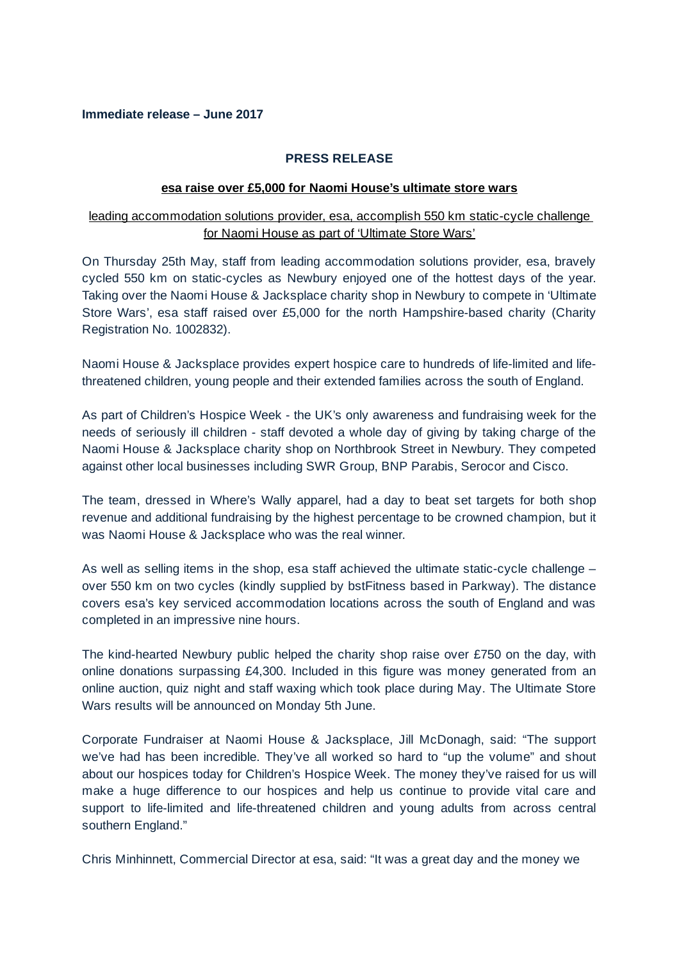## **Immediate release – June 2017**

## **PRESS RELEASE**

#### **esa raise over £5,000 for Naomi House's ultimate store wars**

# leading accommodation solutions provider, esa, accomplish 550 km static-cycle challenge for Naomi House as part of 'Ultimate Store Wars'

On Thursday 25th May, staff from leading accommodation solutions provider, esa, bravely cycled 550 km on static-cycles as Newbury enjoyed one of the hottest days of the year. Taking over the Naomi House & Jacksplace charity shop in Newbury to compete in 'Ultimate Store Wars', esa staff raised over £5,000 for the north Hampshire-based charity (Charity Registration No. 1002832).

Naomi House & Jacksplace provides expert hospice care to hundreds of life-limited and lifethreatened children, young people and their extended families across the south of England.

As part of Children's Hospice Week - the UK's only awareness and fundraising week for the needs of seriously ill children - staff devoted a whole day of giving by taking charge of the Naomi House & Jacksplace charity shop on Northbrook Street in Newbury. They competed against other local businesses including SWR Group, BNP Parabis, Serocor and Cisco.

The team, dressed in Where's Wally apparel, had a day to beat set targets for both shop revenue and additional fundraising by the highest percentage to be crowned champion, but it was Naomi House & Jacksplace who was the real winner.

As well as selling items in the shop, esa staff achieved the ultimate static-cycle challenge – over 550 km on two cycles (kindly supplied by bstFitness based in Parkway). The distance covers esa's key serviced accommodation locations across the south of England and was completed in an impressive nine hours.

The kind-hearted Newbury public helped the charity shop raise over £750 on the day, with online donations surpassing £4,300. Included in this figure was money generated from an online auction, quiz night and staff waxing which took place during May. The Ultimate Store Wars results will be announced on Monday 5th June.

Corporate Fundraiser at Naomi House & Jacksplace, Jill McDonagh, said: "The support we've had has been incredible. They've all worked so hard to "up the volume" and shout about our hospices today for Children's Hospice Week. The money they've raised for us will make a huge difference to our hospices and help us continue to provide vital care and support to life-limited and life-threatened children and young adults from across central southern England."

Chris Minhinnett, Commercial Director at esa, said: "It was a great day and the money we